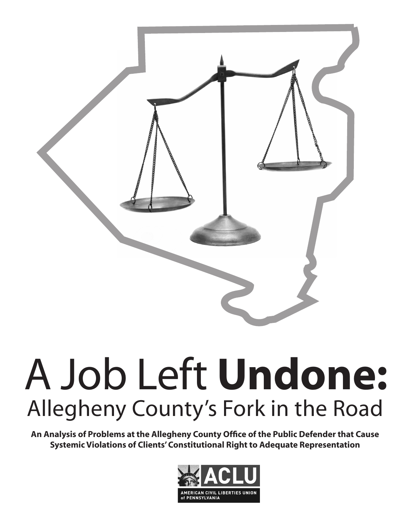

# A Job Left **Undone:**  Allegheny County's Fork in the Road

**An Analysis of Problems at the Allegheny County Office of the Public Defender that Cause Systemic Violations of Clients' Constitutional Right to Adequate Representation**

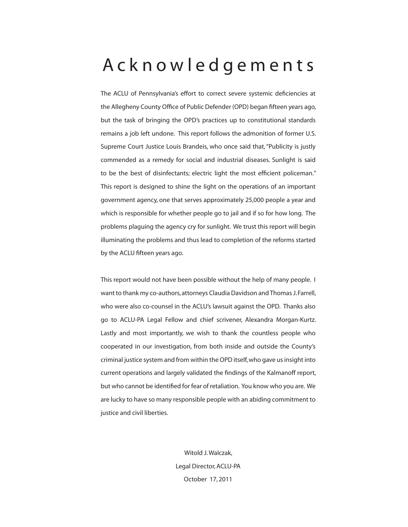# Acknowledgements

The ACLU of Pennsylvania's effort to correct severe systemic deficiencies at the Allegheny County Office of Public Defender (OPD) began fifteen years ago, but the task of bringing the OPD's practices up to constitutional standards remains a job left undone. This report follows the admonition of former U.S. Supreme Court Justice Louis Brandeis, who once said that, "Publicity is justly commended as a remedy for social and industrial diseases. Sunlight is said to be the best of disinfectants; electric light the most efficient policeman." This report is designed to shine the light on the operations of an important government agency, one that serves approximately 25,000 people a year and which is responsible for whether people go to jail and if so for how long. The problems plaguing the agency cry for sunlight. We trust this report will begin illuminating the problems and thus lead to completion of the reforms started by the ACLU fifteen years ago.

This report would not have been possible without the help of many people. I want to thank my co-authors, attorneys Claudia Davidson and Thomas J. Farrell, who were also co-counsel in the ACLU's lawsuit against the OPD. Thanks also go to ACLU-PA Legal Fellow and chief scrivener, Alexandra Morgan-Kurtz. Lastly and most importantly, we wish to thank the countless people who cooperated in our investigation, from both inside and outside the County's criminal justice system and from within the OPD itself, who gave us insight into current operations and largely validated the findings of the Kalmanoff report, but who cannot be identified for fear of retaliation. You know who you are. We are lucky to have so many responsible people with an abiding commitment to justice and civil liberties.

> Witold J. Walczak, Legal Director, ACLU-PA October 17, 2011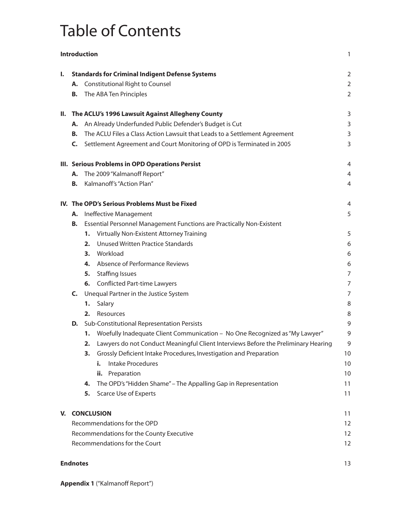# Table of Contents

| Introduction |                                                                             |                               |                                                                                    | 1              |
|--------------|-----------------------------------------------------------------------------|-------------------------------|------------------------------------------------------------------------------------|----------------|
| ı.           | <b>Standards for Criminal Indigent Defense Systems</b>                      |                               |                                                                                    | $\overline{2}$ |
|              |                                                                             |                               | A. Constitutional Right to Counsel                                                 | $\overline{2}$ |
|              | В.                                                                          |                               | The ABA Ten Principles                                                             | $\overline{2}$ |
|              | II. The ACLU's 1996 Lawsuit Against Allegheny County                        |                               |                                                                                    | 3              |
|              | А.                                                                          |                               | An Already Underfunded Public Defender's Budget is Cut                             | 3              |
|              | В.                                                                          |                               | The ACLU Files a Class Action Lawsuit that Leads to a Settlement Agreement         | 3              |
|              | C.                                                                          |                               | Settlement Agreement and Court Monitoring of OPD is Terminated in 2005             | 3              |
|              | III. Serious Problems in OPD Operations Persist                             |                               |                                                                                    | 4              |
|              |                                                                             |                               | A. The 2009 "Kalmanoff Report"                                                     | $\overline{4}$ |
|              | В.                                                                          |                               | Kalmanoff's "Action Plan"                                                          | $\overline{4}$ |
|              |                                                                             |                               | IV. The OPD's Serious Problems Must be Fixed                                       | 4              |
|              | А.                                                                          | <b>Ineffective Management</b> |                                                                                    | 5              |
|              | Essential Personnel Management Functions are Practically Non-Existent<br>В. |                               |                                                                                    |                |
|              |                                                                             |                               | 1. Virtually Non-Existent Attorney Training                                        | 5              |
|              |                                                                             | 2.                            | <b>Unused Written Practice Standards</b>                                           | 6              |
|              |                                                                             |                               | 3. Workload                                                                        | 6              |
|              |                                                                             |                               | 4. Absence of Performance Reviews                                                  | 6              |
|              |                                                                             |                               | 5. Staffing Issues                                                                 | 7              |
|              |                                                                             |                               | 6. Conflicted Part-time Lawyers                                                    | 7              |
|              | C.                                                                          |                               | Unequal Partner in the Justice System                                              | 7              |
|              |                                                                             | 1.                            | Salary                                                                             | 8              |
|              |                                                                             | 2.                            | Resources                                                                          | 8              |
|              | D.                                                                          |                               | Sub-Constitutional Representation Persists                                         | 9              |
|              |                                                                             | 1.                            | Woefully Inadequate Client Communication - No One Recognized as "My Lawyer"        | 9              |
|              |                                                                             | 2.                            | Lawyers do not Conduct Meaningful Client Interviews Before the Preliminary Hearing | 9              |
|              |                                                                             | з.                            | Grossly Deficient Intake Procedures, Investigation and Preparation                 | 10             |
|              |                                                                             |                               | <b>Intake Procedures</b><br>i.                                                     | 10             |
|              |                                                                             |                               | ii. Preparation                                                                    | 10             |
|              |                                                                             | 4.                            | The OPD's "Hidden Shame" - The Appalling Gap in Representation                     | 11             |
|              |                                                                             | 5.                            | <b>Scarce Use of Experts</b>                                                       | 11             |
|              | V. CONCLUSION                                                               |                               |                                                                                    | 11             |
|              | Recommendations for the OPD                                                 |                               |                                                                                    | 12             |
|              | Recommendations for the County Executive                                    |                               |                                                                                    | 12             |
|              |                                                                             |                               | Recommendations for the Court                                                      | 12             |
|              | <b>Endnotes</b>                                                             |                               |                                                                                    | 13             |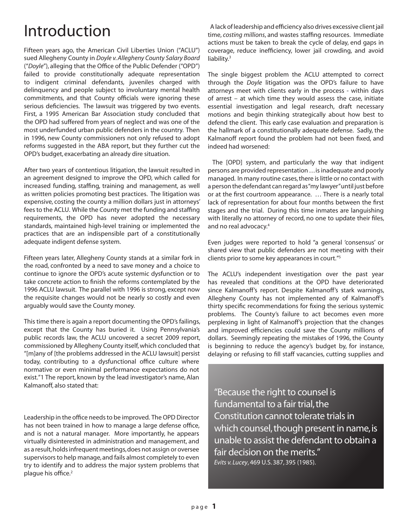# Introduction

Fifteen years ago, the American Civil Liberties Union ("ACLU") sued Allegheny County in *Doyle v. Allegheny County Salary Board* ("*Doyle*"), alleging that the Office of the Public Defender ("OPD") failed to provide constitutionally adequate representation to indigent criminal defendants, juveniles charged with delinquency and people subject to involuntary mental health commitments, and that County officials were ignoring these serious deficiencies. The lawsuit was triggered by two events. First, a 1995 American Bar Association study concluded that the OPD had suffered from years of neglect and was one of the most underfunded urban public defenders in the country. Then in 1996, new County commissioners not only refused to adopt reforms suggested in the ABA report, but they further cut the OPD's budget, exacerbating an already dire situation.

After two years of contentious litigation, the lawsuit resulted in an agreement designed to improve the OPD, which called for increased funding, staffing, training and management, as well as written policies promoting best practices. The litigation was expensive, costing the county a million dollars just in attorneys' fees to the ACLU. While the County met the funding and staffing requirements, the OPD has never adopted the necessary standards, maintained high-level training or implemented the practices that are an indispensible part of a constitutionally adequate indigent defense system.

Fifteen years later, Allegheny County stands at a similar fork in the road, confronted by a need to save money and a choice to continue to ignore the OPD's acute systemic dysfunction or to take concrete action to finish the reforms contemplated by the 1996 ACLU lawsuit. The parallel with 1996 is strong, except now the requisite changes would not be nearly so costly and even arguably would save the County money.

This time there is again a report documenting the OPD's failings, except that the County has buried it. Using Pennsylvania's public records law, the ACLU uncovered a secret 2009 report, commissioned by Allegheny County itself, which concluded that "[m]any of [the problems addressed in the ACLU lawsuit] persist today, contributing to a dysfunctional office culture where normative or even minimal performance expectations do not exist."1 The report, known by the lead investigator's name, Alan Kalmanoff, also stated that:

Leadership in the office needs to be improved. The OPD Director has not been trained in how to manage a large defense office, and is not a natural manager. More importantly, he appears virtually disinterested in administration and management, and as a result, holds infrequent meetings, does not assign or oversee supervisors to help manage, and fails almost completely to even try to identify and to address the major system problems that plague his office.<sup>2</sup>

A lack of leadership and efficiency also drives excessive client jail time, *costing millions*, and wastes staffing resources. Immediate actions must be taken to break the cycle of delay, end gaps in coverage, reduce inefficiency, lower jail crowding, and avoid liability.<sup>3</sup>

The single biggest problem the ACLU attempted to correct through the *Doyle* litigation was the OPD's failure to have attorneys meet with clients early in the process - within days of arrest – at which time they would assess the case, initiate essential investigation and legal research, draft necessary motions and begin thinking strategically about how best to defend the client. This early case evaluation and preparation is the hallmark of a constitutionally adequate defense. Sadly, the Kalmanoff report found the problem had not been fixed, and indeed had worsened:

The [OPD] system, and particularly the way that indigent persons are provided representation . . . is inadequate and poorly managed. In many routine cases, there is little or no contact with a person the defendant can regard as "my lawyer" until just before or at the first courtroom appearance. … There is a nearly total lack of representation for about four months between the first stages and the trial. During this time inmates are languishing with literally no attorney of record, no one to update their files, and no real advocacy.<sup>4</sup>

Even judges were reported to hold "a general 'consensus' or shared view that public defenders are not meeting with their clients prior to some key appearances in court."5

The ACLU's independent investigation over the past year has revealed that conditions at the OPD have deteriorated since Kalmanoff's report. Despite Kalmanoff's stark warnings, Allegheny County has not implemented any of Kalmanoff's thirty specific recommendations for fixing the serious systemic problems. The County's failure to act becomes even more perplexing in light of Kalmanoff's projection that the changes and improved efficiencies could save the County millions of dollars. Seemingly repeating the mistakes of 1996, the County is beginning to reduce the agency's budget by, for instance, delaying or refusing to fill staff vacancies, cutting supplies and

"Because the right to counsel is fundamental to a fair trial, the Constitution cannot tolerate trials in which counsel, though present in name, is unable to assist the defendant to obtain a fair decision on the merits." *Evits v. Lucey*, 469 U.S. 387, 395 (1985).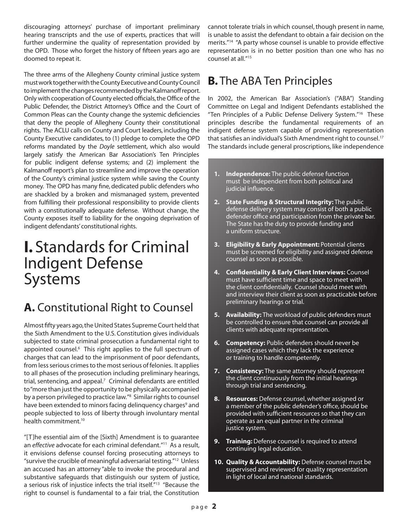discouraging attorneys' purchase of important preliminary hearing transcripts and the use of experts, practices that will further undermine the quality of representation provided by the OPD. Those who forget the history of fifteen years ago are doomed to repeat it.

The three arms of the Allegheny County criminal justice system must work together with the County Executive and County Council to implement the changes recommended by the Kalmanoff report. Only with cooperation of County elected officials, the Office of the Public Defender, the District Attorney's Office and the Court of Common Pleas can the County change the systemic deficiencies that deny the people of Allegheny County their constitutional rights. The ACLU calls on County and Court leaders, including the County Executive candidates, to (1) pledge to complete the OPD reforms mandated by the *Doyle* settlement, which also would largely satisfy the American Bar Association's Ten Principles for public indigent defense systems; and (2) implement the Kalmanoff report's plan to streamline and improve the operation of the County's criminal justice system while saving the County money. The OPD has many fine, dedicated public defenders who are shackled by a broken and mismanaged system, prevented from fulfilling their professional responsibility to provide clients with a constitutionally adequate defense. Without change, the County exposes itself to liability for the ongoing deprivation of indigent defendants' constitutional rights.

# **I.** Standards for Criminal Indigent Defense Systems

# **A.** Constitutional Right to Counsel

Almost fifty years ago, the United States Supreme Court held that the Sixth Amendment to the U.S. Constitution gives individuals subjected to state criminal prosecution a fundamental right to appointed counsel.<sup>6</sup> This right applies to the full spectrum of charges that can lead to the imprisonment of poor defendants, from less serious crimes to the most serious of felonies. It applies to all phases of the prosecution including preliminary hearings, trial, sentencing, and appeal. $7$  Criminal defendants are entitled to "more than just the opportunity to be physically accompanied by a person privileged to practice law."<sup>8</sup> Similar rights to counsel have been extended to minors facing delinquency charges<sup>9</sup> and people subjected to loss of liberty through involuntary mental health commitment.10

"[T]he essential aim of the [Sixth] Amendment is to guarantee an *effective* advocate for each criminal defendant."11 As a result, it envisions defense counsel forcing prosecuting attorneys to "survive the crucible of meaningful adversarial testing."12 Unless an accused has an attorney "able to invoke the procedural and substantive safeguards that distinguish our system of justice, a serious risk of injustice infects the trial itself."13 "Because the right to counsel is fundamental to a fair trial, the Constitution

cannot tolerate trials in which counsel, though present in name, is unable to assist the defendant to obtain a fair decision on the merits."14 "A party whose counsel is unable to provide effective representation is in no better position than one who has no counsel at all."15

### **B.** The ABA Ten Principles

In 2002, the American Bar Association's ("ABA") Standing Committee on Legal and Indigent Defendants established the "Ten Principles of a Public Defense Delivery System."<sup>16</sup> These principles describe the fundamental requirements of an indigent defense system capable of providing representation that satisfies an individual's Sixth Amendment right to counsel.<sup>17</sup> The standards include general proscriptions, like independence

- **1. Independence:** The public defense function must be independent from both political and judicial influence.
- **2. State Funding & Structural Integrity:** The public defense delivery system may consist of both a public defender office and participation from the private bar. The State has the duty to provide funding and a uniform structure.
- **3. Eligibility & Early Appointment:** Potential clients must be screened for eligibility and assigned defense counsel as soon as possible.
- **4. Confidentiality & Early Client Interviews:** Counsel must have sufficient time and space to meet with the client confidentially. Counsel should meet with and interview their client as soon as practicable before preliminary hearings or trial.
- **5. Availability:** The workload of public defenders must be controlled to ensure that counsel can provide all clients with adequate representation.
- **6. Competency:** Public defenders should never be assigned cases which they lack the experience or training to handle competently.
- **7. Consistency:** The same attorney should represent the client continuously from the initial hearings through trial and sentencing.
- **8. Resources:** Defense counsel, whether assigned or a member of the public defender's office, should be provided with sufficient resources so that they can operate as an equal partner in the criminal justice system.
- **9. Training:** Defense counsel is required to attend continuing legal education.
- **10. Quality & Accountability:** Defense counsel must be supervised and reviewed for quality representation in light of local and national standards.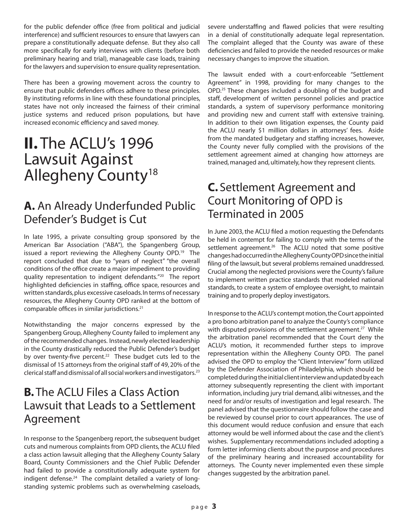for the public defender office (free from political and judicial interference) and sufficient resources to ensure that lawyers can prepare a constitutionally adequate defense. But they also call more specifically for early interviews with clients (before both preliminary hearing and trial), manageable case loads, training for the lawyers and supervision to ensure quality representation.

There has been a growing movement across the country to ensure that public defenders offices adhere to these principles. By instituting reforms in line with these foundational principles, states have not only increased the fairness of their criminal justice systems and reduced prison populations, but have increased economic efficiency and saved money.

# **II.** The ACLU's 1996 Lawsuit Against Allegheny County<sup>18</sup>

### **A.** An Already Underfunded Public Defender's Budget is Cut

In late 1995, a private consulting group sponsored by the American Bar Association ("ABA"), the Spangenberg Group, issued a report reviewing the Allegheny County OPD.<sup>19</sup> The report concluded that due to "years of neglect" "the overall conditions of the office create a major impediment to providing quality representation to indigent defendants."20 The report highlighted deficiencies in staffing, office space, resources and written standards, plus excessive caseloads. In terms of necessary resources, the Allegheny County OPD ranked at the bottom of comparable offices in similar jurisdictions.21

Notwithstanding the major concerns expressed by the Spangenberg Group, Allegheny County failed to implement any of the recommended changes. Instead, newly elected leadership in the County drastically reduced the Public Defender's budget by over twenty-five percent.<sup>22</sup> These budget cuts led to the dismissal of 15 attorneys from the original staff of 49, 20% of the clerical staff and dismissal of all social workers and investigators.23

### **B.** The ACLU Files a Class Action Lawsuit that Leads to a Settlement Agreement

In response to the Spangenberg report, the subsequent budget cuts and numerous complaints from OPD clients, the ACLU filed a class action lawsuit alleging that the Allegheny County Salary Board, County Commissioners and the Chief Public Defender had failed to provide a constitutionally adequate system for indigent defense.<sup>24</sup> The complaint detailed a variety of longstanding systemic problems such as overwhelming caseloads, severe understaffing and flawed policies that were resulting in a denial of constitutionally adequate legal representation. The complaint alleged that the County was aware of these deficiencies and failed to provide the needed resources or make necessary changes to improve the situation.

The lawsuit ended with a court-enforceable "Settlement Agreement" in 1998, providing for many changes to the OPD.25 These changes included a doubling of the budget and staff, development of written personnel policies and practice standards, a system of supervisory performance monitoring and providing new and current staff with extensive training. In addition to their own litigation expenses, the County paid the ACLU nearly \$1 million dollars in attorneys' fees. Aside from the mandated budgetary and staffing increases, however, the County never fully complied with the provisions of the settlement agreement aimed at changing how attorneys are trained, managed and, ultimately, how they represent clients.

### **C.** Settlement Agreement and Court Monitoring of OPD is Terminated in 2005

In June 2003, the ACLU filed a motion requesting the Defendants be held in contempt for failing to comply with the terms of the settlement agreement.<sup>26</sup> The ACLU noted that some positive changes had occurred in the Allegheny County OPD since the initial filing of the lawsuit, but several problems remained unaddressed. Crucial among the neglected provisions were the County's failure to implement written practice standards that modeled national standards, to create a system of employee oversight, to maintain training and to properly deploy investigators.

In response to the ACLU's contempt motion, the Court appointed a pro bono arbitration panel to analyze the County's compliance with disputed provisions of the settlement agreement.<sup>27</sup> While the arbitration panel recommended that the Court deny the ACLU's motion, it recommended further steps to improve representation within the Allegheny County OPD. The panel advised the OPD to employ the "Client Interview" form utilized by the Defender Association of Philadelphia, which should be completed during the initial client interview and updated by each attorney subsequently representing the client with important information, including jury trial demand, alibi witnesses, and the need for and/or results of investigation and legal research. The panel advised that the questionnaire should follow the case and be reviewed by counsel prior to court appearances. The use of this document would reduce confusion and ensure that each attorney would be well informed about the case and the client's wishes. Supplementary recommendations included adopting a form letter informing clients about the purpose and procedures of the preliminary hearing and increased accountability for attorneys. The County never implemented even these simple changes suggested by the arbitration panel.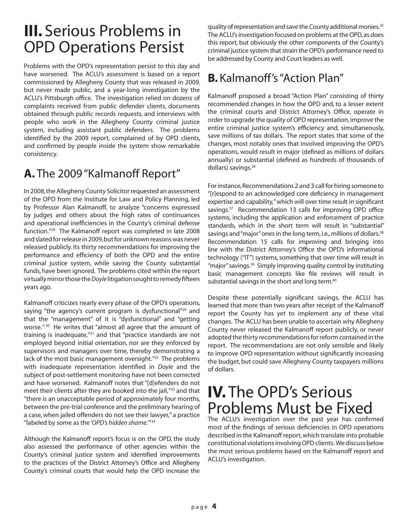# **III.** Serious Problems in OPD Operations Persist

Problems with the OPD's representation persist to this day and have worsened. The ACLU's assessment is based on a report commissioned by Allegheny County that was released in 2009, but never made public, and a year-long investigation by the ACLU's Pittsburgh office. The investigation relied on dozens of complaints received from public defender clients, documents obtained through public records requests, and interviews with people who work in the Allegheny County criminal justice system, including assistant public defenders. The problems identified by the 2009 report, complained of by OPD clients, and confirmed by people inside the system show remarkable consistency.

# **A.** The 2009 "Kalmanoff Report"

In 2008, the Allegheny County Solicitor requested an assessment of the OPD from the Institute for Law and Policy Planning, led by Professor Alan Kalmanoff, to analyze "concerns expressed by judges and others about the high rates of continuances and operational inefficiencies in the County's criminal defense function."28 The Kalmanoff report was completed in late 2008 and slated for release in 2009, but for unknown reasons was never released publicly. Its thirty recommendations for improving the performance and efficiency of both the OPD and the entire criminal justice system, while saving the County substantial funds, have been ignored. The problems cited within the report virtually mirror those the *Doyle* litigation sought to remedy fifteen years ago.

Kalmanoff criticizes nearly every phase of the OPD's operations, saying "the agency's current program is dysfunctional"<sup>29</sup> and that the "management" of it is "dysfunctional" and "getting worse*."*<sup>30</sup>He writes that "almost all agree that the amount of training is inadequate,"31 and that "practice standards are not employed beyond initial orientation, nor are they enforced by supervisors and managers over time, thereby demonstrating a lack of the most basic management oversight."<sup>32</sup> The problems with inadequate representation identified in *Doyle* and the subject of post-settlement monitoring have not been corrected and have worsened. Kalmanoff notes that "[d]efenders do not meet their clients after they are booked into the jail,"33 and that "there is an unacceptable period of approximately four months, between the pre-trial conference and the preliminary hearing of a case, when jailed offenders do not see their lawyer," a practice "labeled by some as the '*OPD's hidden shame*.'"34

Although the Kalmanoff report's focus is on the OPD, the study also assessed the performance of other agencies within the County's criminal justice system and identified improvements to the practices of the District Attorney's Office and Allegheny County's criminal courts that would help the OPD increase the quality of representation and save the County additional monies.<sup>35</sup> The ACLU's investigation focused on problems at the OPD, as does this report, but obviously the other components of the County's criminal justice system that strain the OPD's performance need to be addressed by County and Court leaders as well.

# **B.** Kalmanoff's "Action Plan"

Kalmanoff proposed a broad "Action Plan" consisting of thirty recommended changes in how the OPD and, to a lesser extent the criminal courts and District Attorney's Office, operate in order to upgrade the quality of OPD representation, improve the entire criminal justice system's efficiency and, simultaneously, save millions of tax dollars. The report states that some of the changes, most notably ones that involved improving the OPD's operations, would result in major (defined as millions of dollars annually) or substantial (defined as hundreds of thousands of dollars) savings.36

For instance, Recommendations 2 and 3 call for hiring someone to "[r]espond to an acknowledged core deficiency in management expertise and capability," which will over time result in significant savings.<sup>37</sup> Recommendation 13 calls for improving OPD office systems, including the application and enforcement of practice standards, which in the short term will result in "substantial" savings and "major" ones in the long term, i.e., millions of dollars.<sup>38</sup> Recommendation 15 calls for improving and bringing into line with the District Attorney's Office the OPD's informational technology ("IT") systems, something that over time will result in "major" savings.39 Simply improving quality control by instituting basic management concepts like file reviews will result in substantial savings in the short and long term.<sup>40</sup>

Despite these potentially significant savings, the ACLU has learned that more than two years after receipt of the Kalmanoff report the County has yet to implement any of these vital changes. The ACLU has been unable to ascertain why Allegheny County never released the Kalmanoff report publicly, or never adopted the thirty recommendations for reform contained in the report. The recommendations are not only sensible and likely to improve OPD representation without significantly increasing the budget, but could save Allegheny County taxpayers millions of dollars.

# **IV.** The OPD's Serious Problems Must be Fixed

The ACLU's investigation over the past year has confirmed most of the findings of serious deficiencies in OPD operations described in the Kalmanoff report, which translate into probable constitutional violations involving OPD clients. We discuss below the most serious problems based on the Kalmanoff report and ACLU's investigation.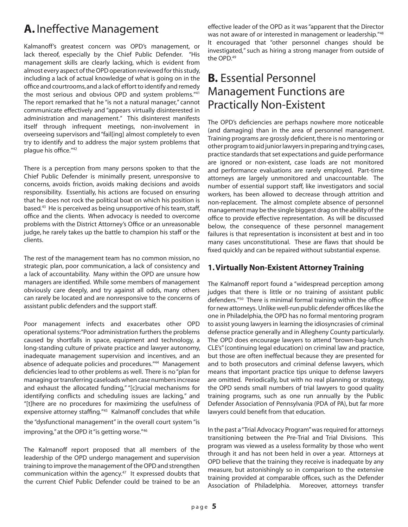# **A.** Ineffective Management

Kalmanoff's greatest concern was OPD's management, or lack thereof, especially by the Chief Public Defender. "His management skills are clearly lacking, which is evident from almost every aspect of the OPD operation reviewed for this study, including a lack of actual knowledge of what is going on in the office and courtrooms, and a lack of effort to identify and remedy the most serious and obvious OPD and system problems."41 The report remarked that he "is not a natural manager," cannot communicate effectively and "appears virtually disinterested in administration and management." This disinterest manifests itself through infrequent meetings, non-involvement in overseeing supervisors and "fail[ing] almost completely to even try to identify and to address the major system problems that plague his office."42

There is a perception from many persons spoken to that the Chief Public Defender is minimally present, unresponsive to concerns, avoids friction, avoids making decisions and avoids responsibility. Essentially, his actions are focused on ensuring that he does not rock the political boat on which his position is based.<sup>43</sup> He is perceived as being unsupportive of his team, staff, office and the clients. When advocacy is needed to overcome problems with the District Attorney's Office or an unreasonable judge, he rarely takes up the battle to champion his staff or the clients.

The rest of the management team has no common mission, no strategic plan, poor communication, a lack of consistency and a lack of accountability. Many within the OPD are unsure how managers are identified. While some members of management obviously care deeply, and try against all odds, many others can rarely be located and are nonresponsive to the concerns of assistant public defenders and the support staff.

Poor management infects and exacerbates other OPD operational systems: "Poor administration furthers the problems caused by shortfalls in space, equipment and technology, a long-standing culture of private practice and lawyer autonomy, inadequate management supervision and incentives, and an absence of adequate policies and procedures."44 Management deficiencies lead to other problems as well. There is no "plan for managing or transferring caseloads when case numbers increase and exhaust the allocated funding," "[c]rucial mechanisms for identifying conflicts and scheduling issues are lacking," and "[t]here are no procedures for maximizing the usefulness of expensive attorney staffing."45 Kalmanoff concludes that while the "dysfunctional management" in the overall court system "is improving," at the OPD it "is getting worse."<sup>46</sup>

The Kalmanoff report proposed that all members of the leadership of the OPD undergo management and supervision training to improve the management of the OPD and strengthen communication within the agency.<sup>47</sup> It expressed doubts that the current Chief Public Defender could be trained to be an

effective leader of the OPD as it was "apparent that the Director was not aware of or interested in management or leadership."48 It encouraged that "other personnel changes should be investigated," such as hiring a strong manager from outside of the OPD.49

### **B.** Essential Personnel Management Functions are Practically Non-Existent

The OPD's deficiencies are perhaps nowhere more noticeable (and damaging) than in the area of personnel management. Training programs are grossly deficient, there is no mentoring or other program to aid junior lawyers in preparing and trying cases, practice standards that set expectations and guide performance are ignored or non-existent, case loads are not monitored and performance evaluations are rarely employed. Part-time attorneys are largely unmonitored and unaccountable. The number of essential support staff, like investigators and social workers, has been allowed to decrease through attrition and non-replacement. The almost complete absence of personnel management may be the single biggest drag on the ability of the office to provide effective representation. As will be discussed below, the consequence of these personnel management failures is that representation is inconsistent at best and in too many cases unconstitutional. These are flaws that should be fixed quickly and can be repaired without substantial expense.

#### **1. Virtually Non-Existent Attorney Training**

The Kalmanoff report found a "widespread perception among judges that there is little or no training of assistant public defenders."50 There is minimal formal training within the office for new attorneys. Unlike well-run public defender offices like the one in Philadelphia, the OPD has no formal mentoring program to assist young lawyers in learning the idiosyncrasies of criminal defense practice generally and in Allegheny County particularly. The OPD does encourage lawyers to attend "brown-bag-lunch CLE's" (continuing legal education) on criminal law and practice, but those are often ineffectual because they are presented for and to both prosecutors and criminal defense lawyers, which means that important practice tips unique to defense lawyers are omitted. Periodically, but with no real planning or strategy, the OPD sends small numbers of trial lawyers to good quality training programs, such as one run annually by the Public Defender Association of Pennsylvania (PDA of PA), but far more lawyers could benefit from that education.

In the past a "Trial Advocacy Program" was required for attorneys transitioning between the Pre-Trial and Trial Divisions. This program was viewed as a useless formality by those who went through it and has not been held in over a year. Attorneys at OPD believe that the training they receive is inadequate by any measure, but astonishingly so in comparison to the extensive training provided at comparable offices, such as the Defender Association of Philadelphia. Moreover, attorneys transfer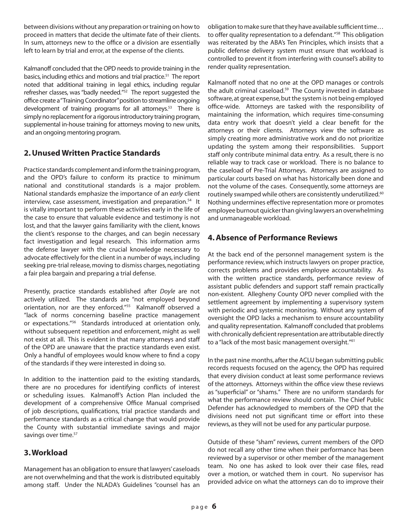between divisions without any preparation or training on how to proceed in matters that decide the ultimate fate of their clients. In sum, attorneys new to the office or a division are essentially left to learn by trial and error, at the expense of the clients.

Kalmanoff concluded that the OPD needs to provide training in the basics, including ethics and motions and trial practice.<sup>51</sup> The report noted that additional training in legal ethics, including regular refresher classes, was "badly needed."52 The report suggested the office create a "Training Coordinator" position to streamline ongoing development of training programs for all attorneys.<sup>53</sup> There is simply no replacement for a rigorous introductory training program, supplemental in-house training for attorneys moving to new units, and an ongoing mentoring program.

#### **2. Unused Written Practice Standards**

Practice standards complement and inform the training program, and the OPD's failure to conform its practice to minimum national and constitutional standards is a major problem. National standards emphasize the importance of an *early* client interview, case assessment, investigation and preparation.<sup>54</sup> It is vitally important to perform these activities early in the life of the case to ensure that valuable evidence and testimony is not lost, and that the lawyer gains familiarity with the client, knows the client's response to the charges, and can begin necessary fact investigation and legal research. This information arms the defense lawyer with the crucial knowledge necessary to advocate effectively for the client in a number of ways, including seeking pre-trial release, moving to dismiss charges, negotiating a fair plea bargain and preparing a trial defense.

Presently, practice standards established after *Doyle* are not actively utilized. The standards are "not employed beyond orientation, nor are they enforced."55 Kalmanoff observed a "lack of norms concerning baseline practice management or expectations."56 Standards introduced at orientation only, without subsequent repetition and enforcement, might as well not exist at all. This is evident in that many attorneys and staff of the OPD are unaware that the practice standards even exist. Only a handful of employees would know where to find a copy of the standards if they were interested in doing so.

In addition to the inattention paid to the existing standards, there are no procedures for identifying conflicts of interest or scheduling issues. Kalmanoff's Action Plan included the development of a comprehensive Office Manual comprised of job descriptions, qualifications, trial practice standards and performance standards as a critical change that would provide the County with substantial immediate savings and major savings over time.<sup>57</sup>

#### **3. Workload**

Management has an obligation to ensure that lawyers' caseloads are not overwhelming and that the work is distributed equitably among staff. Under the NLADA's Guidelines "counsel has an

obligation to make sure that they have available sufficient time… to offer quality representation to a defendant."<sup>58</sup> This obligation was reiterated by the ABA's Ten Principles, which insists that a public defense delivery system must ensure that workload is controlled to prevent it from interfering with counsel's ability to render quality representation.

Kalmanoff noted that no one at the OPD manages or controls the adult criminal caseload.<sup>59</sup> The County invested in database software, at great expense, but the system is not being employed office-wide. Attorneys are tasked with the responsibility of maintaining the information, which requires time-consuming data entry work that doesn't yield a clear benefit for the attorneys or their clients. Attorneys view the software as simply creating more administrative work and do not prioritize updating the system among their responsibilities. Support staff only contribute minimal data entry. As a result, there is no reliable way to track case or workload. There is no balance to the caseload of Pre-Trial Attorneys. Attorneys are assigned to particular courts based on what has historically been done and not the volume of the cases. Consequently, some attorneys are routinely swamped while others are consistently underutilized.<sup>60</sup> Nothing undermines effective representation more or promotes employee burnout quicker than giving lawyers an overwhelming and unmanageable workload.

#### **4. Absence of Performance Reviews**

At the back end of the personnel management system is the performance review, which instructs lawyers on proper practice, corrects problems and provides employee accountability. As with the written practice standards, performance review of assistant public defenders and support staff remain practically non-existent. Allegheny County OPD never complied with the settlement agreement by implementing a supervisory system with periodic and systemic monitoring. Without any system of oversight the OPD lacks a mechanism to ensure accountability and quality representation. Kalmanoff concluded that problems with chronically deficient representation are attributable directly to a "lack of the most basic management oversight."<sup>61</sup>

In the past nine months, after the ACLU began submitting public records requests focused on the agency, the OPD has required that every division conduct at least some performance reviews of the attorneys. Attorneys within the office view these reviews as "superficial" or "shams." There are no uniform standards for what the performance review should contain. The Chief Public Defender has acknowledged to members of the OPD that the divisions need not put significant time or effort into these reviews, as they will not be used for any particular purpose.

Outside of these "sham" reviews, current members of the OPD do not recall any other time when their performance has been reviewed by a supervisor or other member of the management team. No one has asked to look over their case files, read over a motion, or watched them in court. No supervisor has provided advice on what the attorneys can do to improve their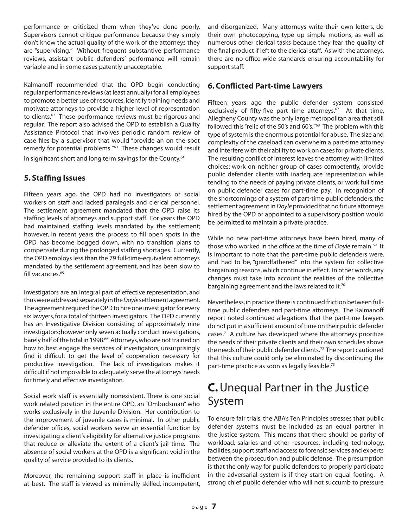performance or criticized them when they've done poorly. Supervisors cannot critique performance because they simply don't know the actual quality of the work of the attorneys they are "supervising." Without frequent substantive performance reviews, assistant public defenders' performance will remain variable and in some cases patently unacceptable.

Kalmanoff recommended that the OPD begin conducting regular performance reviews (at least annually) for all employees to promote a better use of resources, identify training needs and motivate attorneys to provide a higher level of representation to clients.<sup>62</sup> These performance reviews must be rigorous and regular. The report also advised the OPD to establish a Quality Assistance Protocol that involves periodic random review of case files by a supervisor that would "provide an on the spot remedy for potential problems."63 These changes would result in significant short and long term savings for the County.<sup>64</sup>

#### **5. Staffing Issues**

Fifteen years ago, the OPD had no investigators or social workers on staff and lacked paralegals and clerical personnel. The settlement agreement mandated that the OPD raise its staffing levels of attorneys and support staff. For years the OPD had maintained staffing levels mandated by the settlement; however, in recent years the process to fill open spots in the OPD has become bogged down, with no transition plans to compensate during the prolonged staffing shortages. Currently, the OPD employs less than the 79 full-time-equivalent attorneys mandated by the settlement agreement, and has been slow to fill vacancies.<sup>65</sup>

Investigators are an integral part of effective representation, and thus were addressed separately in the *Doyle* settlement agreement. The agreement required the OPD to hire one investigator for every six lawyers, for a total of thirteen investigators. The OPD currently has an Investigative Division consisting of approximately nine investigators; however only seven actually conduct investigations, barely half of the total in 1998.<sup>66</sup> Attorneys, who are not trained on how to best engage the services of investigators, unsurprisingly find it difficult to get the level of cooperation necessary for productive investigation. The lack of investigators makes it difficult if not impossible to adequately serve the attorneys' needs for timely and effective investigation.

Social work staff is essentially nonexistent. There is one social work related position in the entire OPD, an "Ombudsman" who works exclusively in the Juvenile Division. Her contribution to the improvement of juvenile cases is minimal. In other public defender offices, social workers serve an essential function by investigating a client's eligibility for alternative justice programs that reduce or alleviate the extent of a client's jail time. The absence of social workers at the OPD is a significant void in the quality of service provided to its clients.

Moreover, the remaining support staff in place is inefficient at best. The staff is viewed as minimally skilled, incompetent, and disorganized. Many attorneys write their own letters, do their own photocopying, type up simple motions, as well as numerous other clerical tasks because they fear the quality of the final product if left to the clerical staff. As with the attorneys, there are no office-wide standards ensuring accountability for support staff.

#### **6. Conflicted Part-time Lawyers**

Fifteen years ago the public defender system consisted exclusively of fifty-five part time attorneys.<sup>67</sup> At that time, Allegheny County was the only large metropolitan area that still followed this "relic of the 50's and 60's."68 The problem with this type of system is the enormous potential for abuse. The size and complexity of the caseload can overwhelm a part-time attorney and interfere with their ability to work on cases for private clients. The resulting conflict of interest leaves the attorney with limited choices: work on neither group of cases competently, provide public defender clients with inadequate representation while tending to the needs of paying private clients, or work full time on public defender cases for part-time pay. In recognition of the shortcomings of a system of part-time public defenders, the settlement agreement in *Doyle* provided that no future attorneys hired by the OPD or appointed to a supervisory position would be permitted to maintain a private practice.

While no new part-time attorneys have been hired, many of those who worked in the office at the time of *Doyle* remain.<sup>69</sup> It is important to note that the part-time public defenders were, and had to be, "grandfathered" into the system for collective bargaining reasons, which continue in effect. In other words, any changes must take into account the realities of the collective bargaining agreement and the laws related to it.<sup>70</sup>

Nevertheless, in practice there is continued friction between fulltime public defenders and part-time attorneys. The Kalmanoff report noted continued allegations that the part-time lawyers do not put in a sufficient amount of time on their public defender cases.<sup>71</sup> A culture has developed where the attorneys prioritize the needs of their private clients and their own schedules above the needs of their public defender clients.<sup>72</sup> The report cautioned that this culture could only be eliminated by discontinuing the part-time practice as soon as legally feasible.<sup>73</sup>

### **C.** Unequal Partner in the Justice System

To ensure fair trials, the ABA's Ten Principles stresses that public defender systems must be included as an equal partner in the justice system. This means that there should be parity of workload, salaries and other resources, including technology, facilities, support staff and access to forensic services and experts between the prosecution and public defense. The presumption is that the only way for public defenders to properly participate in the adversarial system is if they start on equal footing. A strong chief public defender who will not succumb to pressure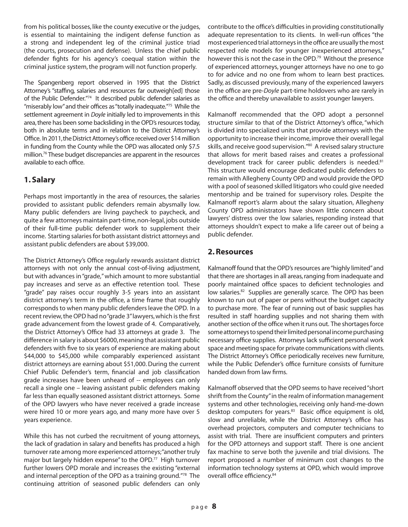from his political bosses, like the county executive or the judges, is essential to maintaining the indigent defense function as a strong and independent leg of the criminal justice triad (the courts, prosecution and defense). Unless the chief public defender fights for his agency's coequal station within the criminal justice system, the program will not function properly.

The Spangenberg report observed in 1995 that the District Attorney's "staffing, salaries and resources far outweigh[ed] those of the Public Defender."74 It described public defender salaries as "miserably low" and their offices as "totally inadequate."75 While the settlement agreement in *Doyle* initially led to improvements in this area, there has been some backsliding in the OPD's resources today, both in absolute terms and in relation to the District Attorney's Office. In 2011, the District Attorney's office received over \$14 million in funding from the County while the OPD was allocated only \$7.5 million.76 These budget discrepancies are apparent in the resources available to each office.

#### **1. Salary**

Perhaps most importantly in the area of resources, the salaries provided to assistant public defenders remain abysmally low. Many public defenders are living paycheck to paycheck, and quite a few attorneys maintain part-time, non-legal, jobs outside of their full-time public defender work to supplement their income. Starting salaries for both assistant district attorneys and assistant public defenders are about \$39,000.

The District Attorney's Office regularly rewards assistant district attorneys with not only the annual cost-of-living adjustment, but with advances in "grade," which amount to more substantial pay increases and serve as an effective retention tool. These "grade" pay raises occur roughly 3-5 years into an assistant district attorney's term in the office, a time frame that roughly corresponds to when many public defenders leave the OPD. In a recent review, the OPD had no "grade 3" lawyers, which is the first grade advancement from the lowest grade of 4. Comparatively, the District Attorney's Office had 33 attorneys at grade 3. The difference in salary is about \$6000, meaning that assistant public defenders with five to six years of experience are making about \$44,000 to \$45,000 while comparably experienced assistant district attorneys are earning about \$51,000. During the current Chief Public Defender's term, financial and job classification grade increases have been unheard of -- employees can only recall a single one – leaving assistant public defenders making far less than equally seasoned assistant district attorneys. Some of the OPD lawyers who have never received a grade increase were hired 10 or more years ago, and many more have over 5 years experience.

While this has not curbed the recruitment of young attorneys, the lack of gradation in salary and benefits has produced a high turnover rate among more experienced attorneys; "another truly major but largely hidden expense" to the OPD.77 High turnover further lowers OPD morale and increases the existing "external and internal perception of the OPD as a training ground."78 The continuing attrition of seasoned public defenders can only

contribute to the office's difficulties in providing constitutionally adequate representation to its clients. In well-run offices "the most experienced trial attorneys in the office are usually the most respected role models for younger inexperienced attorneys," however this is not the case in the OPD.<sup>79</sup> Without the presence of experienced attorneys, younger attorneys have no one to go to for advice and no one from whom to learn best practices. Sadly, as discussed previously, many of the experienced lawyers in the office are pre-*Doyle* part-time holdovers who are rarely in the office and thereby unavailable to assist younger lawyers.

Kalmanoff recommended that the OPD adopt a personnel structure similar to that of the District Attorney's office, "which is divided into specialized units that provide attorneys with the opportunity to increase their income, improve their overall legal skills, and receive good supervision."80 A revised salary structure that allows for merit based raises and creates a professional development track for career public defenders is needed.<sup>81</sup> This structure would encourage dedicated public defenders to remain with Allegheny County OPD and would provide the OPD with a pool of seasoned skilled litigators who could give needed mentorship and be trained for supervisory roles. Despite the Kalmanoff report's alarm about the salary situation, Allegheny County OPD administrators have shown little concern about lawyers' distress over the low salaries, responding instead that attorneys shouldn't expect to make a life career out of being a public defender.

#### **2. Resources**

Kalmanoff found that the OPD's resources are "highly limited" and that there are shortages in all areas, ranging from inadequate and poorly maintained office spaces to deficient technologies and low salaries.<sup>82</sup> Supplies are generally scarce. The OPD has been known to run out of paper or pens without the budget capacity to purchase more. The fear of running out of basic supplies has resulted in staff hoarding supplies and not sharing them with another section of the office when it runs out. The shortages force some attorneys to spend their limited personal income purchasing necessary office supplies. Attorneys lack sufficient personal work space and meeting space for private communications with clients. The District Attorney's Office periodically receives new furniture, while the Public Defender's office furniture consists of furniture handed down from law firms.

Kalmanoff observed that the OPD seems to have received "short shrift from the County" in the realm of information management systems and other technologies, receiving only hand-me-down desktop computers for years.<sup>83</sup> Basic office equipment is old, slow and unreliable, while the District Attorney's office has overhead projectors, computers and computer technicians to assist with trial. There are insufficient computers and printers for the OPD attorneys and support staff. There is one ancient fax machine to serve both the juvenile and trial divisions. The report proposed a number of minimum cost changes to the information technology systems at OPD, which would improve overall office efficiency.<sup>84</sup>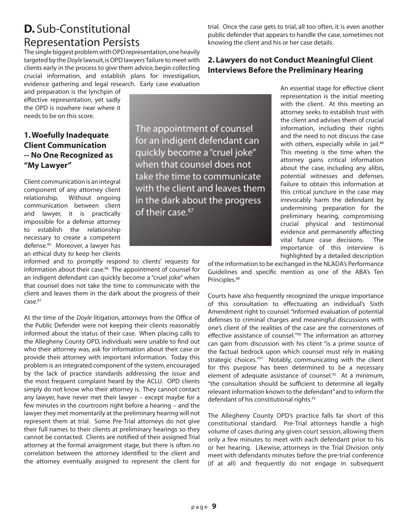### **D.** Sub-Constitutional Representation Persists

The single biggest problem with OPD representation, one heavily targeted by the *Doyle* lawsuit, is OPD lawyers' failure to meet with clients early in the process to give them advice, begin collecting crucial information, and establish plans for investigation, evidence gathering and legal research. Early case evaluation

and preparation is the lynchpin of effective representation, yet sadly the OPD is nowhere near where it needs to be on this score.

#### **1. Woefully Inadequate Client Communication -- No One Recognized as "My Lawyer"**

Client communication is an integral component of any attorney client relationship. Without ongoing communication between client and lawyer, it is practically impossible for a defense attorney to establish the relationship necessary to create a competent defense.<sup>85</sup> Moreover, a lawyer has an ethical duty to keep her clients

informed and to promptly respond to clients' requests for information about their case.<sup>86</sup> The appointment of counsel for an indigent defendant can quickly become a "cruel joke" when that counsel does not take the time to communicate with the client and leaves them in the dark about the progress of their case.87

At the time of the *Doyle* litigation, attorneys from the Office of the Public Defender were not keeping their clients reasonably informed about the status of their case. When placing calls to the Allegheny County OPD, individuals were unable to find out who their attorney was, ask for information about their case or provide their attorney with important information. Today this problem is an integrated component of the system, encouraged by the lack of practice standards addressing the issue and the most frequent complaint heard by the ACLU. OPD clients simply do not know who their attorney is. They cannot contact any lawyer, have never met their lawyer – except maybe for a few minutes in the courtroom right before a hearing – and the lawyer they met momentarily at the preliminary hearing will not represent them at trial. Some Pre-Trial attorneys do not give their full names to their clients at preliminary hearings so they cannot be contacted. Clients are notified of their assigned Trial attorney at the formal arraignment stage, but there is often no correlation between the attorney identified to the client and the attorney eventually assigned to represent the client for

trial. Once the case gets to trial, all too often, it is even another public defender that appears to handle the case, sometimes not knowing the client and his or her case details.

#### **2. Lawyers do not Conduct Meaningful Client Interviews Before the Preliminary Hearing**

An essential stage for effective client representation is the initial meeting with the client. At this meeting an attorney seeks to establish trust with the client and advises them of crucial information, including their rights and the need to not discuss the case with others, especially while in jail.<sup>88</sup> This meeting is the time when the attorney gains critical information about the case, including any alibis, potential witnesses and defenses. Failure to obtain this information at this critical juncture in the case may irrevocably harm the defendant by undermining preparation for the preliminary hearing, compromising crucial physical and testimonial evidence and permanently affecting vital future case decisions. The importance of this interview is highlighted by a detailed description

of the information to be exchanged in the NLADA's Performance Guidelines and specific mention as one of the ABA's Ten Principles.89

Courts have also frequently recognized the unique importance of this consultation to effectuating an individual's Sixth Amendment right to counsel. "Informed evaluation of potential defenses to criminal charges and meaningful discussions with one's client of the realities of the case are the cornerstones of effective assistance of counsel."90 The information an attorney can gain from discussion with his client "is a prime source of the factual bedrock upon which counsel must rely in making strategic choices."<sup>91</sup> Notably, communicating with the client for this purpose has been determined to be a necessary element of adequate assistance of counsel.<sup>92</sup> At a minimum, "the consultation should be sufficient to determine all legally relevant information known to the defendant" and to inform the defendant of his constitutional rights.<sup>93</sup>

The Allegheny County OPD's practice falls far short of this constitutional standard. Pre-Trial attorneys handle a high volume of cases during any given court session, allowing them only a few minutes to meet with each defendant prior to his or her hearing. Likewise, attorneys in the Trial Division only meet with defendants minutes before the pre-trial conference (if at all) and frequently do not engage in subsequent

The appointment of counsel for an indigent defendant can quickly become a "cruel joke" when that counsel does not take the time to communicate with the client and leaves them in the dark about the progress

of their case.<sup>87</sup>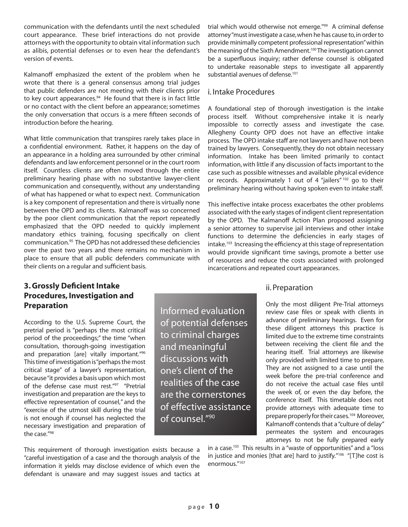communication with the defendants until the next scheduled court appearance. These brief interactions do not provide attorneys with the opportunity to obtain vital information such as alibis, potential defenses or to even hear the defendant's version of events.

Kalmanoff emphasized the extent of the problem when he wrote that there is a general consensus among trial judges that public defenders are not meeting with their clients prior to key court appearances.<sup>94</sup> He found that there is in fact little or no contact with the client before an appearance; sometimes the only conversation that occurs is a mere fifteen seconds of introduction before the hearing.

What little communication that transpires rarely takes place in a confidential environment. Rather, it happens on the day of an appearance in a holding area surrounded by other criminal defendants and law enforcement personnel or in the court room itself. Countless clients are often moved through the entire preliminary hearing phase with no substantive lawyer-client communication and consequently, without any understanding of what has happened or what to expect next. Communication is a key component of representation and there is virtually none between the OPD and its clients. Kalmanoff was so concerned by the poor client communication that the report repeatedly emphasized that the OPD needed to quickly implement mandatory ethics training, focusing specifically on client communication.95 The OPD has not addressed these deficiencies over the past two years and there remains no mechanism in place to ensure that all public defenders communicate with their clients on a regular and sufficient basis.

#### **3. Grossly Deficient Intake Procedures, Investigation and Preparation**

According to the U.S. Supreme Court, the pretrial period is "perhaps the most critical period of the proceedings;" the time "when consultation, thorough-going investigation and preparation [are] vitally important."96 This time of investigation is "perhaps the most critical stage" of a lawyer's representation, because "it provides a basis upon which most of the defense case must rest."97 "Pretrial investigation and preparation are the keys to effective representation of counsel," and the "exercise of the utmost skill during the trial is not enough if counsel has neglected the necessary investigation and preparation of the case."98

This requirement of thorough investigation exists because a "careful investigation of a case and the thorough analysis of the information it yields may disclose evidence of which even the defendant is unaware and may suggest issues and tactics at

trial which would otherwise not emerge."<sup>99</sup> A criminal defense attorney "must investigate a case, when he has cause to, in order to provide minimally competent professional representation" within the meaning of the Sixth Amendment.<sup>100</sup> The investigation cannot be a superfluous inquiry; rather defense counsel is obligated to undertake reasonable steps to investigate all apparently substantial avenues of defense.<sup>101</sup>

#### i. Intake Procedures

A foundational step of thorough investigation is the intake process itself. Without comprehensive intake it is nearly impossible to correctly assess and investigate the case. Allegheny County OPD does not have an effective intake process. The OPD intake staff are not lawyers and have not been trained by lawyers. Consequently, they do not obtain necessary information. Intake has been limited primarily to contact information, with little if any discussion of facts important to the case such as possible witnesses and available physical evidence or records. Approximately 1 out of 4 "jailers" 102 go to their preliminary hearing without having spoken even to intake staff.

This ineffective intake process exacerbates the other problems associated with the early stages of indigent client representation by the OPD. The Kalmanoff Action Plan proposed assigning a senior attorney to supervise jail interviews and other intake functions to determine the deficiencies in early stages of intake.103 Increasing the efficiency at this stage of representation would provide significant time savings, promote a better use of resources and reduce the costs associated with prolonged incarcerations and repeated court appearances.

#### ii. Preparation

Only the most diligent Pre-Trial attorneys review case files or speak with clients in advance of preliminary hearings. Even for these diligent attorneys this practice is limited due to the extreme time constraints between receiving the client file and the hearing itself. Trial attorneys are likewise only provided with limited time to prepare. They are not assigned to a case until the week before the pre-trial conference and do not receive the actual case files until the week of, or even the day before, the conference itself. This timetable does not provide attorneys with adequate time to prepare properly for their cases.<sup>104</sup> Moreover, Kalmanoff contends that a "culture of delay" permeates the system and encourages attorneys to not be fully prepared early

in a case.<sup>105</sup> This results in a "waste of opportunities" and a "loss in justice and monies [that are] hard to justify."<sup>106</sup> "[T]he cost is enormous."107

Informed evaluation of potential defenses to criminal charges and meaningful discussions with one's client of the realities of the case are the cornerstones of effective assistance of counsel."90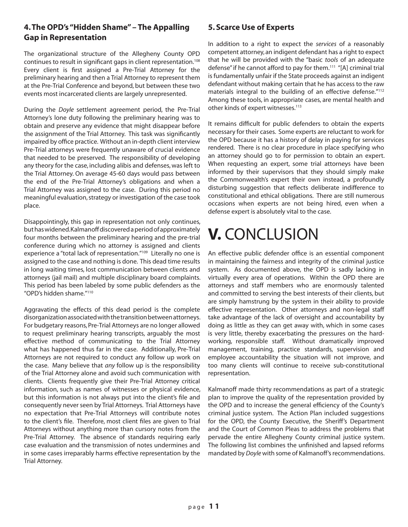#### **4. The OPD's "Hidden Shame" – The Appalling Gap in Representation**

The organizational structure of the Allegheny County OPD continues to result in significant gaps in client representation.<sup>108</sup> Every client is first assigned a Pre-Trial Attorney for the preliminary hearing and then a Trial Attorney to represent them at the Pre-Trial Conference and beyond, but between these two events most incarcerated clients are largely unrepresented.

During the *Doyle* settlement agreement period, the Pre-Trial Attorney's lone duty following the preliminary hearing was to obtain and preserve any evidence that might disappear before the assignment of the Trial Attorney. This task was significantly impaired by office practice. Without an in-depth client interview Pre-Trial attorneys were frequently unaware of crucial evidence that needed to be preserved. The responsibility of developing any theory for the case, including alibis and defenses, was left to the Trial Attorney. On average 45-60 days would pass between the end of the Pre-Trial Attorney's obligations and when a Trial Attorney was assigned to the case. During this period no meaningful evaluation, strategy or investigation of the case took place.

Disappointingly, this gap in representation not only continues, but has widened. Kalmanoff discovered a period of approximately four months between the preliminary hearing and the pre-trial conference during which no attorney is assigned and clients experience a "total lack of representation."<sup>109</sup> Literally no one is assigned to the case and nothing is done. This dead time results in long waiting times, lost communication between clients and attorneys (jail mail) and multiple disciplinary board complaints. This period has been labeled by some public defenders as the "OPD's hidden shame."110

Aggravating the effects of this dead period is the complete disorganization associated with the transition between attorneys. For budgetary reasons, Pre-Trial Attorneys are no longer allowed to request preliminary hearing transcripts, arguably the most effective method of communicating to the Trial Attorney what has happened thus far in the case. Additionally, Pre-Trial Attorneys are not required to conduct any follow up work on the case. Many believe that *any* follow up is the responsibility of the Trial Attorney alone and avoid such communication with clients. Clients frequently give their Pre-Trial Attorney critical information, such as names of witnesses or physical evidence, but this information is not always put into the client's file and consequently never seen by Trial Attorneys. Trial Attorneys have no expectation that Pre-Trial Attorneys will contribute notes to the client's file. Therefore, most client files are given to Trial Attorneys without anything more than cursory notes from the Pre-Trial Attorney. The absence of standards requiring early case evaluation and the transmission of notes undermines and in some cases irreparably harms effective representation by the Trial Attorney.

#### **5. Scarce Use of Experts**

In addition to a right to expect the *services* of a reasonably competent attorney, an indigent defendant has a right to expect that he will be provided with the "basic *tools* of an adequate defense" if he cannot afford to pay for them.<sup>111</sup> "[A] criminal trial is fundamentally unfair if the State proceeds against an indigent defendant without making certain that he has access to the raw materials integral to the building of an effective defense."112 Among these tools, in appropriate cases, are mental health and other kinds of expert witnesses.<sup>113</sup>

It remains difficult for public defenders to obtain the experts necessary for their cases. Some experts are reluctant to work for the OPD because it has a history of delay in paying for services rendered. There is no clear procedure in place specifying who an attorney should go to for permission to obtain an expert. When requesting an expert, some trial attorneys have been informed by their supervisors that they should simply make the Commonwealth's expert their own instead, a profoundly disturbing suggestion that reflects deliberate indifference to constitutional and ethical obligations. There are still numerous occasions when experts are not being hired, even when a defense expert is absolutely vital to the case.

# **V.** CONCLUSION

An effective public defender office is an essential component in maintaining the fairness and integrity of the criminal justice system. As documented above, the OPD is sadly lacking in virtually every area of operations. Within the OPD there are attorneys and staff members who are enormously talented and committed to serving the best interests of their clients, but are simply hamstrung by the system in their ability to provide effective representation. Other attorneys and non-legal staff take advantage of the lack of oversight and accountability by doing as little as they can get away with, which in some cases is very little, thereby exacerbating the pressures on the hardworking, responsible staff. Without dramatically improved management, training, practice standards, supervision and employee accountability the situation will not improve, and too many clients will continue to receive sub-constitutional representation.

Kalmanoff made thirty recommendations as part of a strategic plan to improve the quality of the representation provided by the OPD and to increase the general efficiency of the County's criminal justice system. The Action Plan included suggestions for the OPD, the County Executive, the Sheriff's Department and the Court of Common Pleas to address the problems that pervade the entire Allegheny County criminal justice system. The following list combines the unfinished and lapsed reforms mandated by *Doyle* with some of Kalmanoff's recommendations.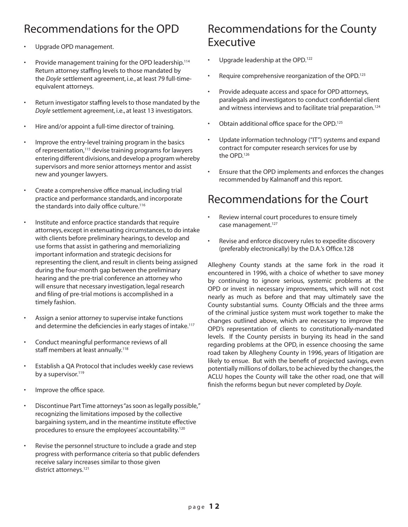### Recommendations for the OPD

- Upgrade OPD management.
- Provide management training for the OPD leadership.<sup>114</sup> Return attorney staffing levels to those mandated by the *Doyle* settlement agreement, i.e., at least 79 full-timeequivalent attorneys.
- Return investigator staffing levels to those mandated by the *Doyle* settlement agreement, i.e., at least 13 investigators.
- Hire and/or appoint a full-time director of training.
- Improve the entry-level training program in the basics of representation,<sup>115</sup> devise training programs for lawyers entering different divisions, and develop a program whereby supervisors and more senior attorneys mentor and assist new and younger lawyers.
- Create a comprehensive office manual, including trial practice and performance standards, and incorporate the standards into daily office culture.<sup>116</sup>
- • Institute and enforce practice standards that require attorneys, except in extenuating circumstances, to do intake with clients before preliminary hearings, to develop and use forms that assist in gathering and memorializing important information and strategic decisions for representing the client, and result in clients being assigned during the four-month gap between the preliminary hearing and the pre-trial conference an attorney who will ensure that necessary investigation, legal research and filing of pre-trial motions is accomplished in a timely fashion.
- Assign a senior attorney to supervise intake functions and determine the deficiencies in early stages of intake.<sup>117</sup>
- • Conduct meaningful performance reviews of all staff members at least annually.<sup>118</sup>
- Establish a QA Protocol that includes weekly case reviews by a supervisor.<sup>119</sup>
- Improve the office space.
- Discontinue Part Time attorneys "as soon as legally possible," recognizing the limitations imposed by the collective bargaining system, and in the meantime institute effective procedures to ensure the employees' accountability.<sup>120</sup>
- Revise the personnel structure to include a grade and step progress with performance criteria so that public defenders receive salary increases similar to those given district attorneys.<sup>121</sup>

### Recommendations for the County Executive

- Upgrade leadership at the OPD.<sup>122</sup>
- Require comprehensive reorganization of the OPD.<sup>123</sup>
- • Provide adequate access and space for OPD attorneys, paralegals and investigators to conduct confidential client and witness interviews and to facilitate trial preparation.<sup>124</sup>
- Obtain additional office space for the OPD. $125$
- Update information technology ("IT") systems and expand contract for computer research services for use by the OPD.126
- • Ensure that the OPD implements and enforces the changes recommended by Kalmanoff and this report.

# Recommendations for the Court

- Review internal court procedures to ensure timely case management.<sup>127</sup>
- • Revise and enforce discovery rules to expedite discovery (preferably electronically) by the D.A.'s Office.128

Allegheny County stands at the same fork in the road it encountered in 1996, with a choice of whether to save money by continuing to ignore serious, systemic problems at the OPD or invest in necessary improvements, which will not cost nearly as much as before and that may ultimately save the County substantial sums. County Officials and the three arms of the criminal justice system must work together to make the changes outlined above, which are necessary to improve the OPD's representation of clients to constitutionally-mandated levels. If the County persists in burying its head in the sand regarding problems at the OPD, in essence choosing the same road taken by Allegheny County in 1996, years of litigation are likely to ensue. But with the benefit of projected savings, even potentially millions of dollars, to be achieved by the changes, the ACLU hopes the County will take the other road, one that will finish the reforms begun but never completed by *Doyle.*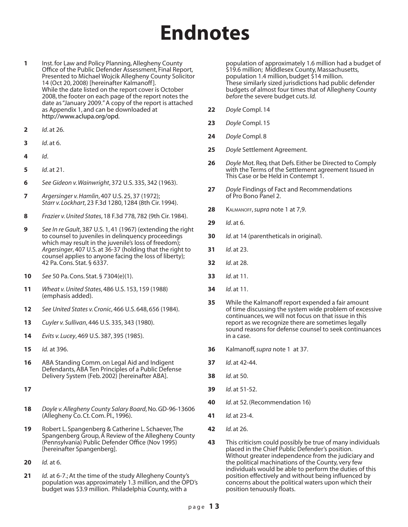# **Endnotes**

- **1** Inst. for Law and Policy Planning, Allegheny County Office of the Public Defender Assessment, Final Report, Presented to Michael Wojcik Allegheny County Solicitor 14 (Oct 20, 2008) [hereinafter Kalmanoff ]. While the date listed on the report cover is October 2008, the footer on each page of the report notes the date as "January 2009." A copy of the report is attached as Appendix 1, and can be downloaded at http://www.aclupa.org/opd.
- **2** *Id*. at 26.
- **3** *Id*. at 6.
- **4** *Id*.
- **5** *Id*. at 21.
- **6** *See Gideon v. Wainwright*, 372 U.S. 335, 342 (1963).
- **7** *Argersinger v. Hamlin*, 407 U.S. 25, 37 (1972); *Starr v. Lockhart*, 23 F.3d 1280, 1284 (8th Cir. 1994).
- **8** *Frazier v. United States*, 18 F.3d 778, 782 (9th Cir. 1984).
- **9** *See In re Gault*, 387 U.S. 1, 41 (1967) (extending the right to counsel to juveniles in delinquency proceedings which may result in the juvenile's loss of freedom); *Argersinger*, 407 U.S. at 36-37 (holding that the right to counsel applies to anyone facing the loss of liberty); 42 Pa. Cons. Stat. § 6337.
- **10** *See* 50 Pa. Cons. Stat. § 7304(e)(1).
- **11** *Wheat v. United States*, 486 U.S. 153, 159 (1988) (emphasis added).
- **12** *See United States v. Cronic*, 466 U.S. 648, 656 (1984).
- **13** *Cuyler v. Sullivan*, 446 U.S. 335, 343 (1980).
- **14** *Evits v. Lucey*, 469 U.S. 387, 395 (1985).
- **15** *Id.* at 396.
- **16** ABA Standing Comm. on Legal Aid and Indigent Defendants, ABA Ten Principles of a Public Defense Delivery System (Feb. 2002) [hereinafter ABA].
- **17**
- **18** *Doyle v. Allegheny County Salary Board*, No. GD-96-13606 (Allegheny Co. Ct. Com. Pl., 1996).
- **19** Robert L. Spangenberg & Catherine L. Schaever, The Spangenberg Group, A Review of the Allegheny County (Pennsylvania) Public Defender Office (Nov 1995) [hereinafter Spangenberg].
- **20** *Id.* at 6.
- **21** *Id.* at 6-7.; At the time of the study Allegheny County's population was approximately 1.3 million, and the OPD's budget was \$3.9 million. Philadelphia County, with a

population of approximately 1.6 million had a budget of \$19.6 million; Middlesex County, Massachusetts, population 1.4 million, budget \$14 million. These similarly sized jurisdictions had public defender budgets of almost four times that of Allegheny County *before* the severe budget cuts. *Id.*

- **22** *Doyle* Compl. 14
- **23** *Doyle* Compl. 15
- **24** *Doyle* Compl. 8
- **25** *Doyle* Settlement Agreement.
- **26** *Doyle* Mot. Req. that Defs. Either be Directed to Comply with the Terms of the Settlement agreement Issued in This Case or be Held in Contempt 1.
- **27** *Doyle* Findings of Fact and Recommendations of Pro Bono Panel 2.
- **28** Kalmanoff, *supra* note 1 at 7,9.
- **29** *Id*. at 6.
- **30** *Id*. at 14 (parentheticals in original).
- **31** *Id*. at 23.
- **32** *Id*. at 28.
- **33** *Id*. at 11.
- **34** *Id*. at 11.
- **35** While the Kalmanoff report expended a fair amount of time discussing the system wide problem of excessive continuances, we will not focus on that issue in this report as we recognize there are sometimes legally sound reasons for defense counsel to seek continuances in a case.
- **36** Kalmanoff, *supra* note 1 at 37.
- **37** *Id*. at 42-44.
- **38** *Id*. at 50.
- **39** *Id*. at 51-52.
- **40** *Id*. at 52. (Recommendation 16)
- **41** *Id.* at 23-4.
- **42** *Id.* at 26.
- **43** This criticism could possibly be true of many individuals placed in the Chief Public Defender's position. Without greater independence from the judiciary and the political machinations of the County, very few individuals would be able to perform the duties of this position effectively and without being influenced by concerns about the political waters upon which their position tenuously floats.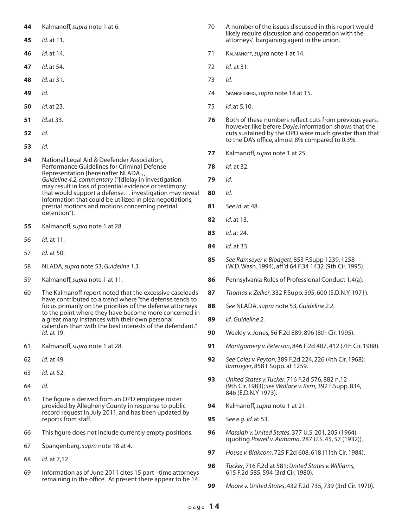- Kalmanoff, *supra* note 1 at 6.
- *Id*. at 11.
- *Id*. at 14.
- *Id.* at 54.
- *Id.* at 31.
- *Id.*
- *Id.* at 23.
- *Id.*at 33.
- *Id.*
- *Id.*
- National Legal Aid & Deefender Association, Performance Guidelines for Criminal Defense Representation [hereinafter NLADA], , *Guideline 4.2, commentary* ("[d]elay in investigation may result in loss of potential evidence or testimony that would support a defense… investigation may reveal information that could be utilized in plea negotiations, pretrial motions and motions concerning pretrial detention").
- Kalmanoff, *supra* note 1 at 28.
- *Id.* at 11.
- *Id.* at 50.
- NLADA, *supra* note 53, *Guideline 1.3*.
- Kalmanoff, *supra* note 1 at 11.
- The Kalmanoff report noted that the excessive caseloads have contributed to a trend where "the defense tends to focus primarily on the priorities of the defense attorneys to the point where they have become more concerned in a great many instances with their own personal calendars than with the best interests of the defendant." *Id.* at 19.
- Kalmanoff, *supra* note 1 at 28.
- *Id.* at 49.
- *Id.* at 52.
- *Id.*
- The figure is derived from an OPD employee roster provided by Allegheny County in response to public record request in July 2011, and has been updated by reports from staff.
- This figure does not include currently empty positions.
- Spangenberg, *supra* note 18 at 4.
- *Id.* at 7,12.
- Information as of June 2011 cites 15 part –time attorneys remaining in the office. At present there appear to be 14.
- A number of the issues discussed in this report would likely require discussion and cooperation with the attorneys' bargaining agent in the union.
- Kalmanoff, *supra* note 1 at 14.
- *Id.* at 31.
- *Id.*
- Spangenberg, *supra* note 18 at 15.
- *Id.* at 5,10.
- Both of these numbers reflect cuts from previous years, however, like before *Doyle*, information shows that the cuts sustained by the OPD were much greater than that to the DA's office, almost 8% compared to 0.3%.
- Kalmanoff, *supra* note 1 at 25.
- *Id.* at 32.
- *Id.*
- *Id.*
- *See id.* at 48.
- *Id*. at 13.
- *Id.* at 24.
- *Id.* at 33.
- *See Ramseyer v. Blodgett*, 853 F.Supp 1239, 1258 (W.D. Wash. 1994), aff'd 64 F.34 1432 (9th Cir. 1995).
- Pennsylvania Rules of Professional Conduct 1.4(a).
- *Thomas v. Zelker*, 332 F.Supp. 595, 600 (S.D.N.Y. 1971).
- *See* NLADA, *supra* note 53, *Guideline 2.2*.
- *Id. Guideline 2*.
- Weekly v. Jones, 56 F.2d 889, 896 (8th Cir. 1995).
- *Montgomery v. Peterson*, 846 F.2d 407, 412 (7th Cir. 1988).
- *See Coles v. Peyton*, 389 F.2d 224, 226 (4th Cir. 1968); *Ramseyer*, 858 F.Supp. at 1259.
- *United States v. Tucker*, 716 F.2d 576, 882 n.12 (9th Cir. 1983); *see Wallace v. Kern*, 392 F.Supp. 834, 846 (E.D.N.Y 1973).
- Kalmanoff, *supra* note 1 at 21.
- *See e.g. id.* at 53.
- *Massiah v. United States*, 377 U.S. 201, 205 (1964) (quoting *Powell v. Alabama*, 287 U.S. 45, 57 (1932)).
- *House v. Blakcom*, 725 F.2d 608, 618 (11th Cir. 1984).
- *Tucker*, 716 F.2d at 581; *United States v. Williams*, 615 F.2d 585, 594 (3rd Cir. 1980).
- *Moore v. United States*, 432 F.2d 735, 739 (3rd Cir. 1970).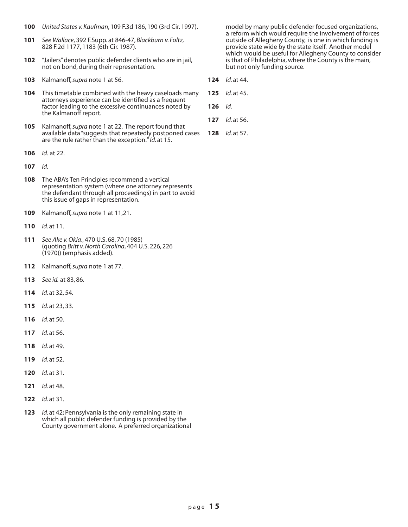- **100** *United States v. Kaufman*, 109 F.3d 186, 190 (3rd Cir. 1997).
- **101** *See Wallace*, 392 F.Supp. at 846-47, *Blackburn v. Foltz*, 828 F.2d 1177, 1183 (6th Cir. 1987).
- **102** "Jailers" denotes public defender clients who are in jail, not on bond, during their representation.
- **103** Kalmanoff, *supra* note 1 at 56.
- **104** This timetable combined with the heavy caseloads many attorneys experience can be identified as a frequent factor leading to the excessive continuances noted by the Kalmanoff report.
- **105** Kalmanoff, *supra* note 1 at 22. The report found that available data "suggests that repeatedly postponed cases are the rule rather than the exception." *Id.* at 15.
- **106** *Id.* at 22.
- **107** *Id.*
- **108** The ABA's Ten Principles recommend a vertical representation system (where one attorney represents the defendant through all proceedings) in part to avoid this issue of gaps in representation.
- **109** Kalmanoff, *supra* note 1 at 11,21.
- **110** *Id.* at 11.
- **111** *See Ake v. Okla*., 470 U.S. 68, 70 (1985) (quoting *Britt v. North Carolina*, 404 U.S. 226, 226 (1970)) (emphasis added).
- **112** Kalmanoff, *supra* note 1 at 77.
- **113** *See id.* at 83, 86.
- **114** *Id.* at 32, 54.
- **115** *Id.* at 23, 33.
- **116** *Id.* at 50.
- **117** *Id.* at 56.
- **118** *Id.* at 49.
- **119** *Id.* at 52.
- **120** *Id.* at 31.
- **121** *Id.* at 48.
- **122** *Id.* at 31.
- **123** *Id.* at 42; Pennsylvania is the only remaining state in which all public defender funding is provided by the County government alone. A preferred organizational

model by many public defender focused organizations, a reform which would require the involvement of forces outside of Allegheny County, is one in which funding is provide state wide by the state itself. Another model which would be useful for Allegheny County to consider is that of Philadelphia, where the County is the main, but not only funding source.

- **124** *Id.* at 44.
- **125** *Id.* at 45.
- **126** *Id.*
- **127** *Id.* at 56.
- **128** *Id.* at 57.